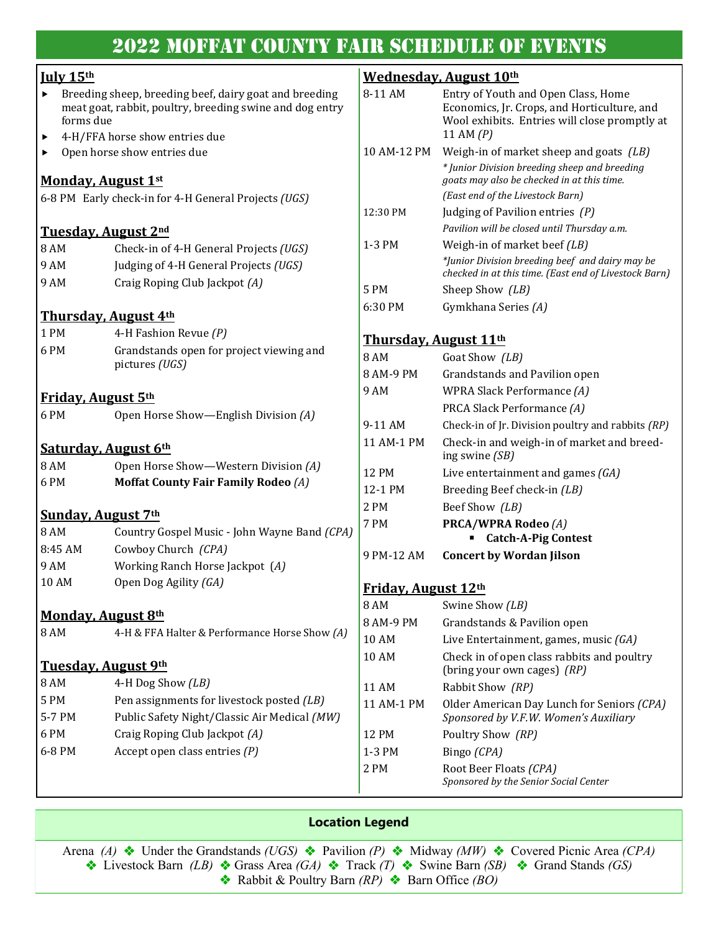# 2022 Moffat County Fair Schedule of Events

### **July 15th**

- Breeding sheep, breeding beef, dairy goat and breeding meat goat, rabbit, poultry, breeding swine and dog entry forms due
- 4-H/FFA horse show entries due
- ▶ Open horse show entries due

### **Monday, August 1st**

6-8 PM Early check-in for 4-H General Projects *(UGS)*

#### **Tuesday, August 2nd**

| 8 AM | Check-in of 4-H General Projects (UGS) |
|------|----------------------------------------|
| 9 AM | Judging of 4-H General Projects (UGS)  |
| 9 AM | Craig Roping Club Jackpot $(A)$        |

#### **Thursday, August 4th**

| $1$ PM | 4-H Fashion Revue (P)                    |
|--------|------------------------------------------|
| 6 PM   | Grandstands open for project viewing and |
|        | pictures (UGS)                           |

#### **Friday, August 5th**

6 PM Open Horse Show—English Division *(A)*

#### **Saturday, August 6th**

| 8 AM | Open Horse Show—Western Division (A) |
|------|--------------------------------------|
| 6 PM | Moffat County Fair Family Rodeo (A)  |

#### **Sunday, August 7th**

| 8 AM    | Country Gospel Music - John Wayne Band (CPA) |
|---------|----------------------------------------------|
| 8:45 AM | Cowboy Church (CPA)                          |
| 9 AM    | Working Ranch Horse Jackpot (A)              |
| 10 AM   | Open Dog Agility (GA)                        |

#### **Monday, August 8th**

| 8 AM                                       | 4-H & FFA Halter & Performance Horse Show (A)                           |
|--------------------------------------------|-------------------------------------------------------------------------|
| <b>Tuesday, August 9th</b><br>8 AM<br>5 PM | 4-H Dog Show $(LB)$<br>Pen assignments for livestock posted <i>(LB)</i> |

- 5-7 PM Public Safety Night/Classic Air Medical *(MW)*
- 6 PM Craig Roping Club Jackpot *(A)* 6-8 PM Accept open class entries *(P)*

## **Wednesday, August 10th**

| <u>weuliesuav, August 10<sup></sup></u> |                                                                                                                                                  |  |  |
|-----------------------------------------|--------------------------------------------------------------------------------------------------------------------------------------------------|--|--|
| 8-11 AM                                 | Entry of Youth and Open Class, Home<br>Economics, Jr. Crops, and Horticulture, and<br>Wool exhibits. Entries will close promptly at<br>11 AM (P) |  |  |
| 10 AM-12 PM                             | Weigh-in of market sheep and goats $(LB)$                                                                                                        |  |  |
|                                         | * Junior Division breeding sheep and breeding<br>goats may also be checked in at this time.                                                      |  |  |
|                                         | (East end of the Livestock Barn)                                                                                                                 |  |  |
| 12:30 PM                                | Judging of Pavilion entries $(P)$                                                                                                                |  |  |
|                                         | Pavilion will be closed until Thursday a.m.                                                                                                      |  |  |
| 1-3 PM                                  | Weigh-in of market beef (LB)                                                                                                                     |  |  |
|                                         | *Junior Division breeding beef and dairy may be<br>checked in at this time. (East end of Livestock Barn)                                         |  |  |
| 5 PM                                    | Sheep Show <i>(LB)</i>                                                                                                                           |  |  |
| 6:30 PM                                 | Gymkhana Series (A)                                                                                                                              |  |  |
|                                         | <u>Thursday, August 11th</u>                                                                                                                     |  |  |
| 8 AM                                    | Goat Show (LB)                                                                                                                                   |  |  |
| 8 AM-9 PM                               | Grandstands and Pavilion open                                                                                                                    |  |  |
| 9 AM                                    | WPRA Slack Performance (A)                                                                                                                       |  |  |
|                                         | PRCA Slack Performance (A)                                                                                                                       |  |  |
| 9-11 AM                                 | Check-in of Jr. Division poultry and rabbits (RP)                                                                                                |  |  |
| 11 AM-1 PM                              | Check-in and weigh-in of market and breed-<br>ing swine (SB)                                                                                     |  |  |
| <b>12 PM</b>                            | Live entertainment and games $(GA)$                                                                                                              |  |  |
| 12-1 PM                                 | Breeding Beef check-in (LB)                                                                                                                      |  |  |
| 2 PM                                    | Beef Show (LB)                                                                                                                                   |  |  |
| 7 PM                                    | <b>PRCA/WPRA Rodeo (A)</b>                                                                                                                       |  |  |

#### **Friday, August 12th**

9 PM-12 AM **Concert by Wordan Jilson** 

| 8 AM       | Swine Show <i>(LB)</i>                                                              |  |
|------------|-------------------------------------------------------------------------------------|--|
| 8 AM-9 PM  | Grandstands & Pavilion open                                                         |  |
| 10 AM      | Live Entertainment, games, music $(GA)$                                             |  |
| 10 AM      | Check in of open class rabbits and poultry<br>(bring your own cages) <i>(RP)</i>    |  |
| 11 AM      | Rabbit Show <i>(RP)</i>                                                             |  |
| 11 AM-1 PM | Older American Day Lunch for Seniors (CPA)<br>Sponsored by V.F.W. Women's Auxiliary |  |
| 12 PM      | Poultry Show <i>(RP)</i>                                                            |  |
| 1-3 PM     | Bingo (CPA)                                                                         |  |
| 2 PM       | Root Beer Floats (CPA)<br>Sponsored by the Senior Social Center                     |  |

▪ **Catch-A-Pig Contest** 

#### **Location Legend**

Arena *(A)* ❖ Under the Grandstands *(UGS)* ❖ Pavilion *(P)* ❖ Midway *(MW)* ❖ Covered Picnic Area *(CPA)*  ❖ Livestock Barn *(LB)* ❖ Grass Area *(GA)* ❖ Track *(T)* ❖ Swine Barn *(SB)* ❖Grand Stands *(GS)*  ❖ Rabbit & Poultry Barn *(RP)* ❖Barn Office *(BO)*